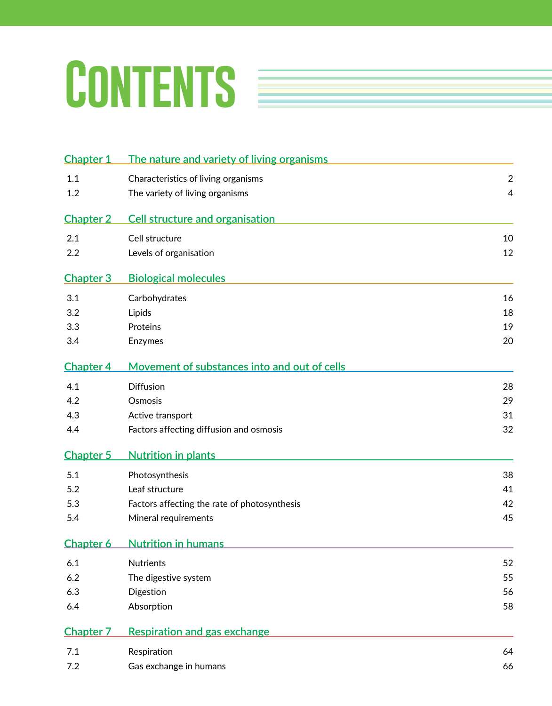# CONTENTS **Exercise**

| <b>Chapter 1</b> | The nature and variety of living organisms   |                |
|------------------|----------------------------------------------|----------------|
| 1.1              | Characteristics of living organisms          | $\sqrt{2}$     |
| 1.2              | The variety of living organisms              | $\overline{4}$ |
| <b>Chapter 2</b> | <b>Cell structure and organisation</b>       |                |
| 2.1              | Cell structure                               | 10             |
| 2.2              | Levels of organisation                       | 12             |
| <b>Chapter 3</b> | <b>Biological molecules</b>                  |                |
| 3.1              | Carbohydrates                                | 16             |
| 3.2              | Lipids                                       | 18             |
| 3.3              | Proteins                                     | 19             |
| 3.4              | Enzymes                                      | 20             |
| <b>Chapter 4</b> | Movement of substances into and out of cells |                |
| 4.1              | <b>Diffusion</b>                             | 28             |
| 4.2              | Osmosis                                      | 29             |
| 4.3              | Active transport                             | 31             |
| 4.4              | Factors affecting diffusion and osmosis      | 32             |
| <b>Chapter 5</b> | <b>Nutrition in plants</b>                   |                |
| 5.1              | Photosynthesis                               | 38             |
| 5.2              | Leaf structure                               | 41             |
| 5.3              | Factors affecting the rate of photosynthesis | 42             |
| 5.4              | Mineral requirements                         | 45             |
| <b>Chapter 6</b> | <b>Nutrition in humans</b>                   |                |
| 6.1              | <b>Nutrients</b>                             | 52             |
| 6.2              | The digestive system                         | 55             |
| 6.3              | Digestion                                    | 56             |
| 6.4              | Absorption                                   | 58             |
| <b>Chapter 7</b> | Respiration and gas exchange                 |                |
| 7.1              | Respiration                                  | 64             |
| 7.2              | Gas exchange in humans                       | 66             |
|                  |                                              |                |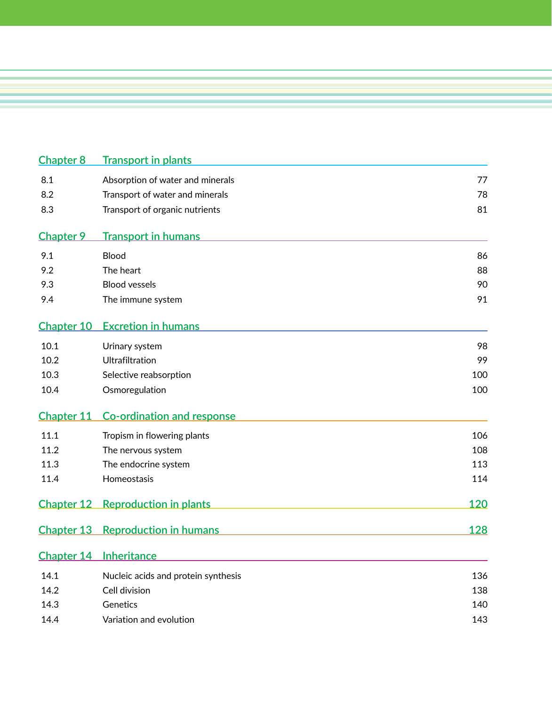| <b>Chapter 8</b>  | <b>Transport in plants</b>          |     |
|-------------------|-------------------------------------|-----|
| 8.1               | Absorption of water and minerals    | 77  |
| 8.2               | Transport of water and minerals     | 78  |
| 8.3               | Transport of organic nutrients      | 81  |
| <b>Chapter 9</b>  | <b>Transport in humans</b>          |     |
| 9.1               | Blood                               | 86  |
| 9.2               | The heart                           | 88  |
| 9.3               | <b>Blood vessels</b>                | 90  |
| 9.4               | The immune system                   | 91  |
| Chapter 10        | <b>Excretion in humans</b>          |     |
| 10.1              | Urinary system                      | 98  |
| 10.2              | Ultrafiltration                     | 99  |
| 10.3              | Selective reabsorption              | 100 |
| 10.4              | Osmoregulation                      | 100 |
| <b>Chapter 11</b> | <b>Co-ordination and response</b>   |     |
| 11.1              | Tropism in flowering plants         | 106 |
| 11.2              | The nervous system                  | 108 |
| 11.3              | The endocrine system                | 113 |
| 11.4              | Homeostasis                         | 114 |
| <b>Chapter 12</b> | <b>Reproduction in plants</b>       | 120 |
| <b>Chapter 13</b> | <b>Reproduction in humans</b>       | 128 |
|                   | Chapter 14 Inheritance              |     |
| 14.1              | Nucleic acids and protein synthesis | 136 |
| 14.2              | Cell division                       | 138 |
| 14.3              | Genetics                            | 140 |
| 14.4              | Variation and evolution             | 143 |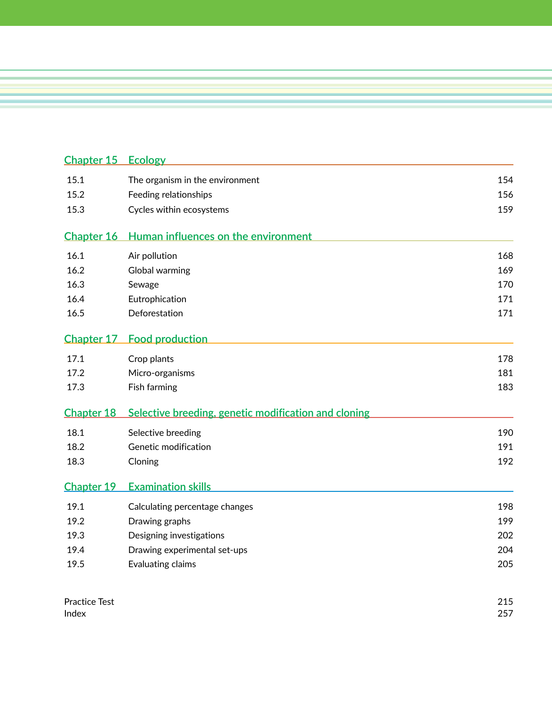| <b>Chapter 15</b>                                   | <b>Ecology</b>                                       |            |
|-----------------------------------------------------|------------------------------------------------------|------------|
| 15.1                                                | The organism in the environment                      | 154        |
| 15.2                                                | Feeding relationships                                | 156        |
| 15.3                                                | Cycles within ecosystems                             | 159        |
| <b>Chapter 16</b>                                   | Human influences on the environment                  |            |
| 16.1                                                | Air pollution                                        | 168        |
| 16.2                                                | Global warming                                       | 169        |
| 16.3                                                | Sewage                                               | 170        |
| 16.4                                                | Eutrophication                                       | 171        |
| 16.5                                                | Deforestation                                        | 171        |
| <b>Chapter 17</b>                                   | <b>Food production</b>                               |            |
| 17.1                                                | Crop plants                                          | 178        |
| 17.2                                                | Micro-organisms                                      | 181        |
| 17.3                                                | Fish farming                                         | 183        |
| Chapter 18                                          | Selective breeding, genetic modification and cloning |            |
| 18.1                                                | Selective breeding                                   | 190        |
| 18.2                                                | Genetic modification                                 | 191        |
| 18.3                                                | Cloning                                              | 192        |
| <b>Chapter 19</b>                                   | <b>Examination skills</b>                            |            |
| 19.1                                                | Calculating percentage changes                       | 198        |
| 19.2                                                | Drawing graphs                                       | 199        |
| 19.3                                                | Designing investigations                             | 202        |
| 19.4                                                | Drawing experimental set-ups                         | 204        |
| 19.5                                                | Evaluating claims                                    | 205        |
| $D_{\text{max}}$ $\downarrow$ is a $T_{\text{max}}$ |                                                      | <b>OIE</b> |

| <b>Practice Test</b> | 215        |
|----------------------|------------|
| Index                | 257<br>، ب |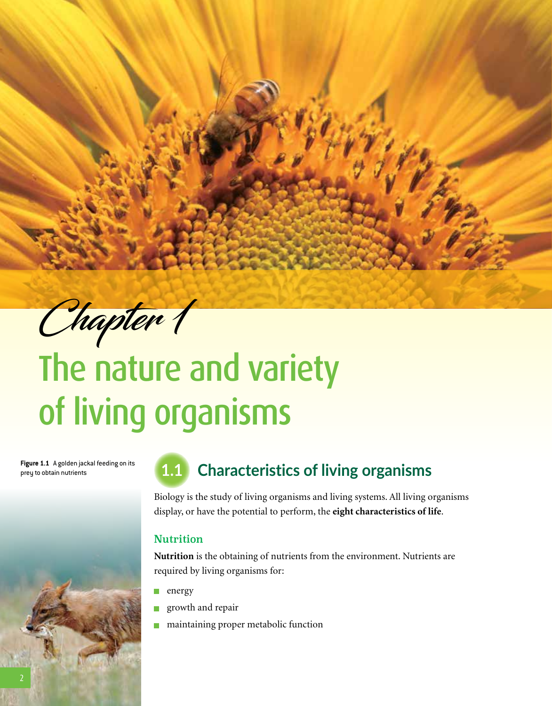Chapter 1

**EDEXCEL INTERNATIONAL GCSE (9–1) BIOLOGY**

# The nature and variety of living organisms

**Figure 1.1** A golden jackal feeding on its



### Figure 1.1 Agolden jackal feeding on its **1.1 Characteristics of living organisms**

Biology is the study of living organisms and living systems. All living organisms display, or have the potential to perform, the **eight characteristics of life**.

#### Nutrition

**Nutrition** is the obtaining of nutrients from the environment. Nutrients are required by living organisms for:

- energy  $\mathbb{R}^3$
- growth and repair  $\mathbb{R}^3$
- maintaining proper metabolic function m.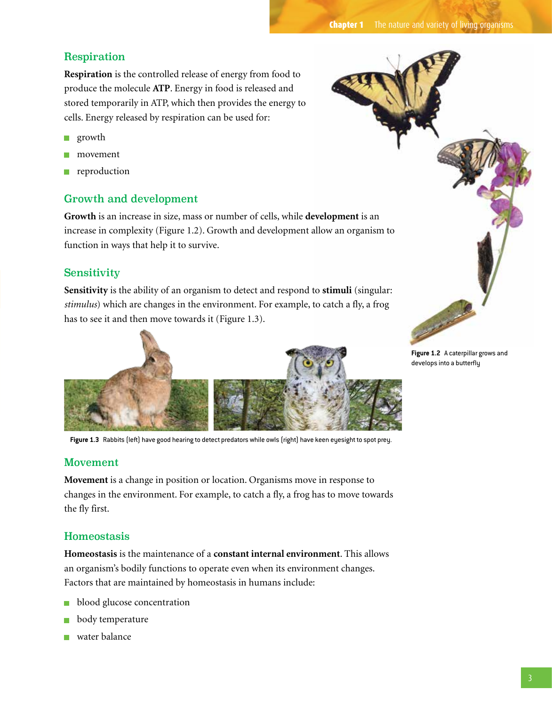#### Respiration

**Respiration** is the controlled release of energy from food to produce the molecule **ATP**. Energy in food is released and stored temporarily in ATP, which then provides the energy to cells. Energy released by respiration can be used for:

- growth  $\mathcal{L}_{\mathcal{A}}$
- movement
- reproduction

#### Growth and development

**Growth** is an increase in size, mass or number of cells, while **development** is an increase in complexity (Figure 1.2). Growth and development allow an organism to function in ways that help it to survive.

#### Sensitivity

**Sensitivity** is the ability of an organism to detect and respond to **stimuli** (singular: *stimulus*) which are changes in the environment. For example, to catch a fly, a frog has to see it and then move towards it (Figure 1.3).



**Figure 1.3** Rabbits (left) have good hearing to detect predators while owls (right) have keen eyesight to spot prey.

#### Movement

**Movement** is a change in position or location. Organisms move in response to changes in the environment. For example, to catch a fly, a frog has to move towards the fly first.

#### Homeostasis

**Homeostasis** is the maintenance of a **constant internal environment**. This allows an organism's bodily functions to operate even when its environment changes. Factors that are maintained by homeostasis in humans include:

- blood glucose concentration **I**
- body temperature
- water balance



**Figure 1.2** A caterpillar grows and develops into a butterfly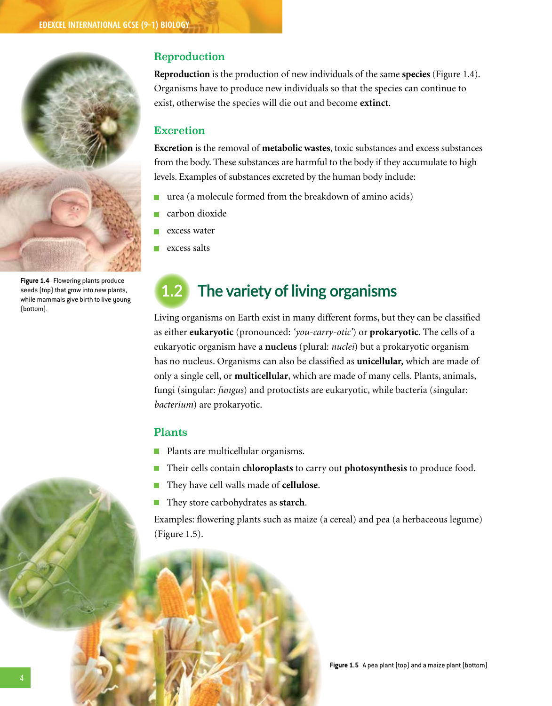

**Figure 1.4** Flowering plants produce seeds (top) that grow into new plants, while mammals give birth to live young (bottom).

#### Reproduction

**Reproduction** is the production of new individuals of the same **species** (Figure 1.4). Organisms have to produce new individuals so that the species can continue to exist, otherwise the species will die out and become **extinct**.

#### Excretion

**Excretion** is the removal of **metabolic wastes**, toxic substances and excess substances from the body. These substances are harmful to the body if they accumulate to high levels. Examples of substances excreted by the human body include:

- urea (a molecule formed from the breakdown of amino acids) m,
- carbon dioxide
- excess water
- excess salts π

## **1.2 The variety of living organisms**

Living organisms on Earth exist in many different forms, but they can be classified as either **eukaryotic** (pronounced: *'you-carry-otic'*) or **prokaryotic**. The cells of a eukaryotic organism have a **nucleus** (plural: *nuclei*) but a prokaryotic organism has no nucleus. Organisms can also be classified as **unicellular,** which are made of only a single cell, or **multicellular**, which are made of many cells. Plants, animals, fungi (singular: *fungus*) and protoctists are eukaryotic, while bacteria (singular: *bacterium*) are prokaryotic.

#### Plants

- **Plants are multicellular organisms.**
- Their cells contain **chloroplasts** to carry out **photosynthesis** to produce food.
- They have cell walls made of **cellulose**. F.
- They store carbohydrates as **starch**.  $\overline{\phantom{a}}$

Examples: flowering plants such as maize (a cereal) and pea (a herbaceous legume) (Figure 1.5).

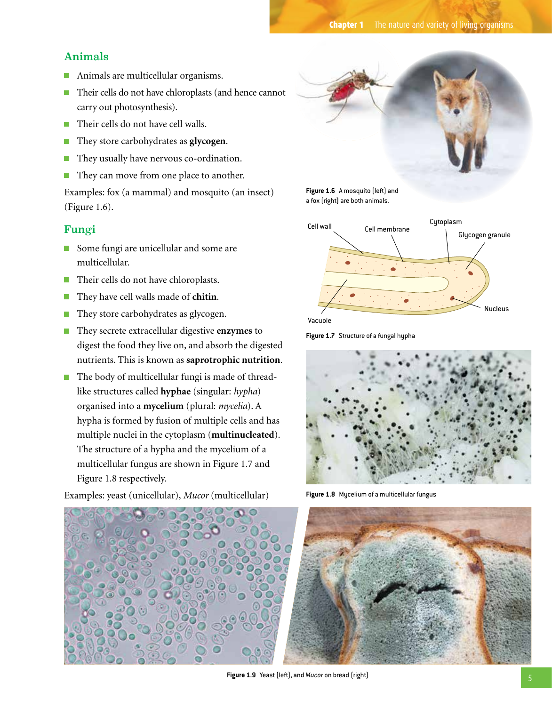#### Animals

- $\mathcal{C}^{\mathcal{A}}$ Animals are multicellular organisms.
- Their cells do not have chloroplasts (and hence cannot carry out photosynthesis).
- Their cells do not have cell walls. T.
- They store carbohydrates as **glycogen**. П
- They usually have nervous co-ordination. T.
- They can move from one place to another.  $\mathcal{L}_{\mathcal{A}}$

Examples: fox (a mammal) and mosquito (an insect) (Figure 1.6).

#### Fungi

- Some fungi are unicellular and some are multicellular.
- Their cells do not have chloroplasts.
- They have cell walls made of **chitin**.
- They store carbohydrates as glycogen. **I**
- They secrete extracellular digestive **enzymes** to П digest the food they live on, and absorb the digested nutrients. This is known as **saprotrophic nutrition**.
- The body of multicellular fungi is made of threadlike structures called **hyphae** (singular: *hypha*) organised into a **mycelium** (plural: *mycelia*). A hypha is formed by fusion of multiple cells and has multiple nuclei in the cytoplasm (**multinucleated**). The structure of a hypha and the mycelium of a multicellular fungus are shown in Figure 1.7 and Figure 1.8 respectively.

**Figure 1.6** A mosquito (left) and a fox (right) are both animals.



Vacuole





**Figure 1.8** Mycelium of a multicellular fungus



**Figure 1.9** Yeast (left), and *Mucor* on bread (right)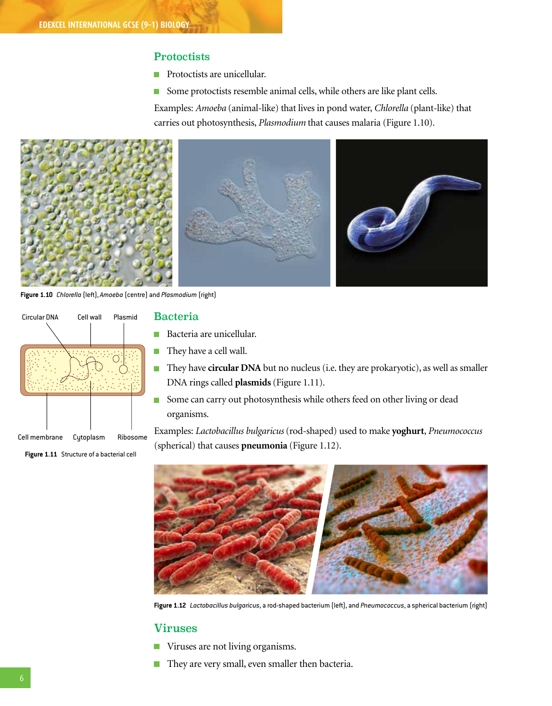#### **Protoctists**

- Protoctists are unicellular.  $\Box$
- Some protoctists resemble animal cells, while others are like plant cells.  $\mathcal{L}_{\mathcal{A}}$

Examples: *Amoeba* (animal-like) that lives in pond water, *Chlorella* (plant-like) that carries out photosynthesis, *Plasmodium* that causes malaria (Figure 1.10).



**Figure 1.10** *Chlorella* (left), *Amoeba* (centre) and *Plasmodium* (right)



**Figure 1.11** Structure of a bacterial cell

#### Bacteria

- **Bacteria are unicellular.**
- They have a cell wall. m,
- They have **circular DNA** but no nucleus (i.e. they are prokaryotic), as well as smaller DNA rings called **plasmids** (Figure 1.11).
- Some can carry out photosynthesis while others feed on other living or dead organisms.

Examples: *Lactobacillus bulgaricus* (rod-shaped) used to make **yoghurt**, *Pneumococcus*  (spherical) that causes **pneumonia** (Figure 1.12).



**Figure 1.12** *Lactobacillus bulgaricus*, a rod-shaped bacterium (left), and *Pneumococcus*, a spherical bacterium (right)

#### Viruses

- Viruses are not living organisms.  $\mathcal{L}_{\mathcal{A}}$
- They are very small, even smaller then bacteria.  $\overline{\phantom{a}}$